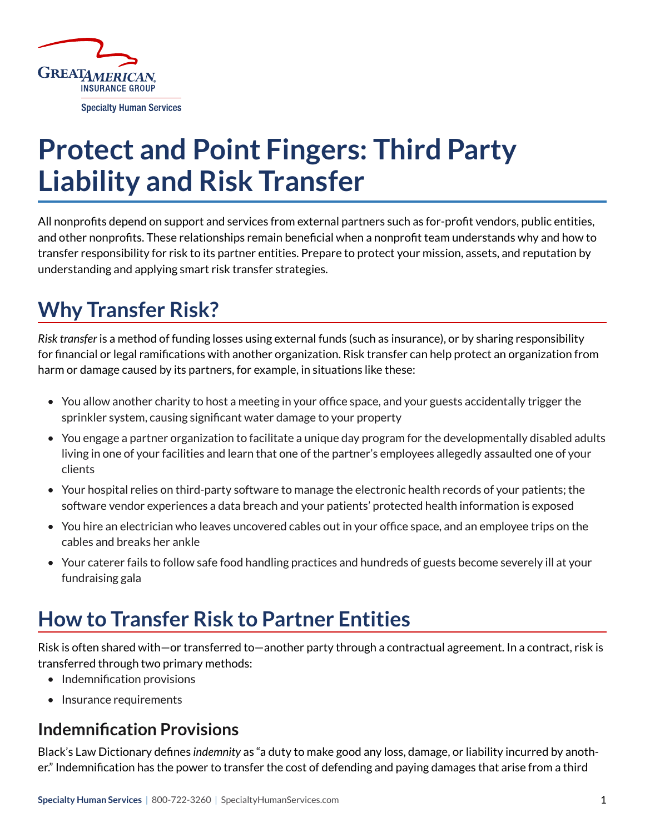

# **Protect and Point Fingers: Third Party Liability and Risk Transfer**

All nonprofits depend on support and services from external partners such as for-profit vendors, public entities, and other nonprofits. These relationships remain beneficial when a nonprofit team understands why and how to transfer responsibility for risk to its partner entities. Prepare to protect your mission, assets, and reputation by understanding and applying smart risk transfer strategies.

# **Why Transfer Risk?**

*Risk transfer* is a method of funding losses using external funds (such as insurance), or by sharing responsibility for financial or legal ramifications with another organization. Risk transfer can help protect an organization from harm or damage caused by its partners, for example, in situations like these:

- You allow another charity to host a meeting in your office space, and your guests accidentally trigger the sprinkler system, causing significant water damage to your property
- You engage a partner organization to facilitate a unique day program for the developmentally disabled adults living in one of your facilities and learn that one of the partner's employees allegedly assaulted one of your clients
- Your hospital relies on third-party software to manage the electronic health records of your patients; the software vendor experiences a data breach and your patients' protected health information is exposed
- You hire an electrician who leaves uncovered cables out in your office space, and an employee trips on the cables and breaks her ankle
- Your caterer fails to follow safe food handling practices and hundreds of guests become severely ill at your fundraising gala

## **How to Transfer Risk to Partner Entities**

Risk is often shared with—or transferred to—another party through a contractual agreement. In a contract, risk is transferred through two primary methods:

- Indemnification provisions
- Insurance requirements

### **Indemnification Provisions**

Black's Law Dictionary defines *indemnity* as "a duty to make good any loss, damage, or liability incurred by another." Indemnification has the power to transfer the cost of defending and paying damages that arise from a third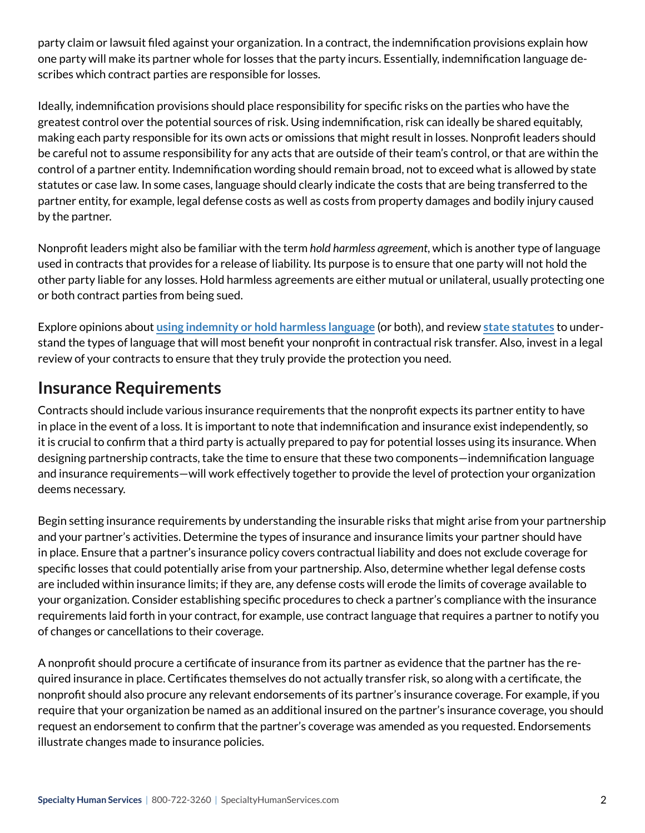party claim or lawsuit filed against your organization. In a contract, the indemnification provisions explain how one party will make its partner whole for losses that the party incurs. Essentially, indemnification language describes which contract parties are responsible for losses.

Ideally, indemnification provisions should place responsibility for specific risks on the parties who have the greatest control over the potential sources of risk. Using indemnification, risk can ideally be shared equitably, making each party responsible for its own acts or omissions that might result in losses. Nonprofit leaders should be careful not to assume responsibility for any acts that are outside of their team's control, or that are within the control of a partner entity. Indemnification wording should remain broad, not to exceed what is allowed by state statutes or case law. In some cases, language should clearly indicate the costs that are being transferred to the partner entity, for example, legal defense costs as well as costs from property damages and bodily injury caused by the partner.

Nonprofit leaders might also be familiar with the term *hold harmless agreement*, which is another type of language used in contracts that provides for a release of liability. Its purpose is to ensure that one party will not hold the other party liable for any losses. Hold harmless agreements are either mutual or unilateral, usually protecting one or both contract parties from being sued.

Explore opinions about **[using indemnity or hold harmless language](https://www.legalwritingpro.com/articles/indemnify-hold-harmless/)** (or both), and review **[state statutes](https://www.keglerbrown.com/content/uploads/2019/10/Anti-Indemnity-Statutes-in-the-50-States-2020.pdf)** to understand the types of language that will most benefit your nonprofit in contractual risk transfer. Also, invest in a legal review of your contracts to ensure that they truly provide the protection you need.

### **Insurance Requirements**

Contracts should include various insurance requirements that the nonprofit expects its partner entity to have in place in the event of a loss. It is important to note that indemnification and insurance exist independently, so it is crucial to confirm that a third party is actually prepared to pay for potential losses using its insurance. When designing partnership contracts, take the time to ensure that these two components—indemnification language and insurance requirements—will work effectively together to provide the level of protection your organization deems necessary.

Begin setting insurance requirements by understanding the insurable risks that might arise from your partnership and your partner's activities. Determine the types of insurance and insurance limits your partner should have in place. Ensure that a partner's insurance policy covers contractual liability and does not exclude coverage for specific losses that could potentially arise from your partnership. Also, determine whether legal defense costs are included within insurance limits; if they are, any defense costs will erode the limits of coverage available to your organization. Consider establishing specific procedures to check a partner's compliance with the insurance requirements laid forth in your contract, for example, use contract language that requires a partner to notify you of changes or cancellations to their coverage.

A nonprofit should procure a certificate of insurance from its partner as evidence that the partner has the required insurance in place. Certificates themselves do not actually transfer risk, so along with a certificate, the nonprofit should also procure any relevant endorsements of its partner's insurance coverage. For example, if you require that your organization be named as an additional insured on the partner's insurance coverage, you should request an endorsement to confirm that the partner's coverage was amended as you requested. Endorsements illustrate changes made to insurance policies.